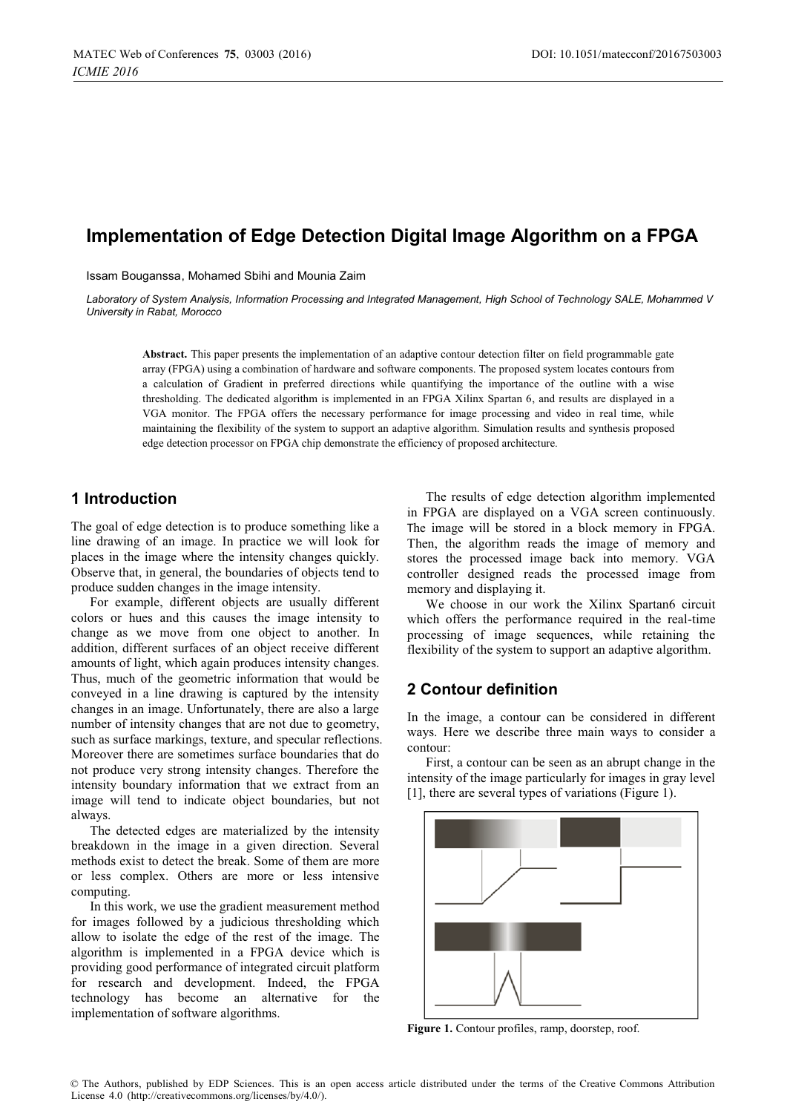# **Implementation of Edge Detection Digital Image Algorithm on a FPGA**

Issam Bouganssa, Mohamed Sbihi and Mounia Zaim

*Laboratory of System Analysis, Information Processing and Integrated Management, High School of Technology SALE, Mohammed V University in Rabat, Morocco* 

**Abstract.** This paper presents the implementation of an adaptive contour detection filter on field programmable gate array (FPGA) using a combination of hardware and software components. The proposed system locates contours from a calculation of Gradient in preferred directions while quantifying the importance of the outline with a wise thresholding. The dedicated algorithm is implemented in an FPGA Xilinx Spartan 6, and results are displayed in a VGA monitor. The FPGA offers the necessary performance for image processing and video in real time, while maintaining the flexibility of the system to support an adaptive algorithm. Simulation results and synthesis proposed edge detection processor on FPGA chip demonstrate the efficiency of proposed architecture.

# **1 Introduction**

The goal of edge detection is to produce something like a line drawing of an image. In practice we will look for places in the image where the intensity changes quickly. Observe that, in general, the boundaries of objects tend to produce sudden changes in the image intensity.

For example, different objects are usually different colors or hues and this causes the image intensity to change as we move from one object to another. In addition, different surfaces of an object receive different amounts of light, which again produces intensity changes. Thus, much of the geometric information that would be conveyed in a line drawing is captured by the intensity changes in an image. Unfortunately, there are also a large number of intensity changes that are not due to geometry, such as surface markings, texture, and specular reflections. Moreover there are sometimes surface boundaries that do not produce very strong intensity changes. Therefore the intensity boundary information that we extract from an image will tend to indicate object boundaries, but not always.

The detected edges are materialized by the intensity breakdown in the image in a given direction. Several methods exist to detect the break. Some of them are more or less complex. Others are more or less intensive computing.

In this work, we use the gradient measurement method for images followed by a judicious thresholding which allow to isolate the edge of the rest of the image. The algorithm is implemented in a FPGA device which is providing good performance of integrated circuit platform for research and development. Indeed, the FPGA technology has become an alternative for the implementation of software algorithms.

The results of edge detection algorithm implemented in FPGA are displayed on a VGA screen continuously. The image will be stored in a block memory in FPGA. Then, the algorithm reads the image of memory and stores the processed image back into memory. VGA controller designed reads the processed image from memory and displaying it.

We choose in our work the Xilinx Spartan6 circuit which offers the performance required in the real-time processing of image sequences, while retaining the flexibility of the system to support an adaptive algorithm.

# **2 Contour definition**

In the image, a contour can be considered in different ways. Here we describe three main ways to consider a contour:

First, a contour can be seen as an abrupt change in the intensity of the image particularly for images in gray level [1], there are several types of variations (Figure 1).



Figure 1. Contour profiles, ramp, doorstep, roof.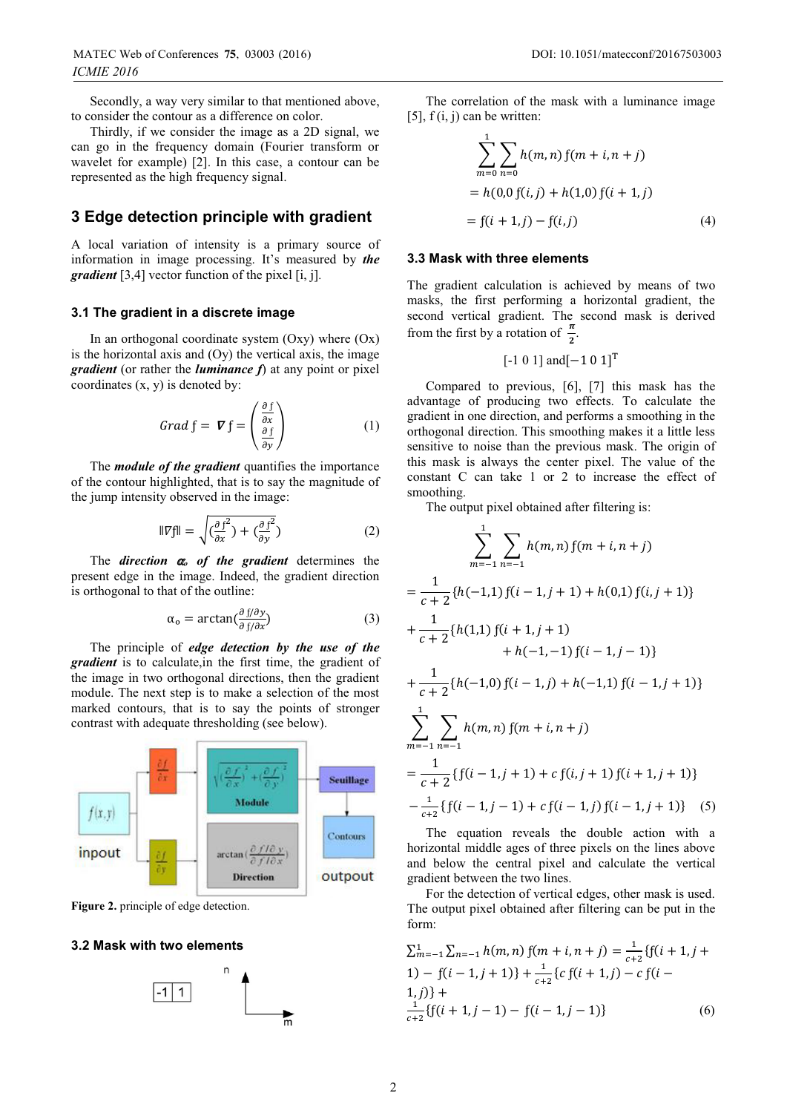Secondly, a way very similar to that mentioned above, to consider the contour as a difference on color.

Thirdly, if we consider the image as a 2D signal, we can go in the frequency domain (Fourier transform or wavelet for example) [2]. In this case, a contour can be represented as the high frequency signal.

### **3 Edge detection principle with gradient**

A local variation of intensity is a primary source of information in image processing. It's measured by *the gradient* [3,4] vector function of the pixel [i, j]*.*

#### **3.1 The gradient in a discrete image**

In an orthogonal coordinate system  $(Oxy)$  where  $(Ox)$ is the horizontal axis and  $(Oy)$  the vertical axis, the image *gradient* (or rather the *luminance f*) at any point or pixel coordinates (x, y) is denoted by:

$$
Grad f = \nabla f = \begin{pmatrix} \frac{\partial f}{\partial x} \\ \frac{\partial f}{\partial y} \end{pmatrix} \tag{1}
$$

The *module of the gradient* quantifies the importance of the contour highlighted, that is to say the magnitude of the jump intensity observed in the image:

$$
\|\nabla f\| = \sqrt{\left(\frac{\partial f^2}{\partial x}\right) + \left(\frac{\partial f^2}{\partial y}\right)}\tag{2}
$$

The *direction*  $\alpha$  *of the gradient* determines the present edge in the image. Indeed, the gradient direction is orthogonal to that of the outline:

$$
\alpha_{o} = \arctan(\frac{\partial f/\partial y}{\partial f/\partial x})
$$
 (3)

The principle of *edge detection by the use of the gradient* is to calculate,in the first time, the gradient of the image in two orthogonal directions, then the gradient module. The next step is to make a selection of the most marked contours, that is to say the points of stronger contrast with adequate thresholding (see below).



**Figure 2.** principle of edge detection.

#### **3.2 Mask with two elements**



The correlation of the mask with a luminance image [5],  $f(i, j)$  can be written:

$$
\sum_{m=0}^{1} \sum_{n=0} h(m, n) f(m + i, n + j)
$$
  
= h(0,0 f(i, j) + h(1,0) f(i + 1, j)  
= f(i + 1, j) - f(i, j) (4)

#### **3.3 Mask with three elements**

The gradient calculation is achieved by means of two masks, the first performing a horizontal gradient, the second vertical gradient. The second mask is derived from the first by a rotation of  $\frac{\pi}{2}$ .

$$
[-1 \ 0 \ 1]
$$
 and  $[-1 \ 0 \ 1]$ <sup>T</sup>

Compared to previous, [6], [7] this mask has the advantage of producing two effects. To calculate the gradient in one direction, and performs a smoothing in the orthogonal direction. This smoothing makes it a little less sensitive to noise than the previous mask. The origin of this mask is always the center pixel. The value of the constant C can take 1 or 2 to increase the effect of smoothing.

The output pixel obtained after filtering is:

$$
\sum_{m=-1}^{1} \sum_{n=-1}^{1} h(m,n) f(m+i, n+j)
$$
  
= 
$$
\frac{1}{c+2} \{h(-1,1) f(i-1,j+1) + h(0,1) f(i,j+1)\}
$$
  
+ 
$$
\frac{1}{c+2} \{h(1,1) f(i+1,j+1) + h(-1,-1) f(i-1,j-1)\}
$$
  
+ 
$$
\frac{1}{c+2} \{h(-1,0) f(i-1,j) + h(-1,1) f(i-1,j+1)\}
$$
  
= 
$$
\sum_{m=-1}^{1} \sum_{n=-1}^{1} h(m,n) f(m+i,n+j)
$$
  
= 
$$
\frac{1}{c+2} \{f(i-1,j+1) + c f(i,j+1) f(i+1,j+1)\}
$$
  
= 
$$
\frac{1}{c+2} \{f(i-1,j-1) + c f(i-1,j) f(i-1,j+1)\}
$$
(5)

The equation reveals the double action with a horizontal middle ages of three pixels on the lines above and below the central pixel and calculate the vertical gradient between the two lines.

For the detection of vertical edges, other mask is used. The output pixel obtained after filtering can be put in the form:

$$
\sum_{m=-1}^{1} \sum_{n=-1}^{1} h(m,n) f(m+i,n+j) = \frac{1}{c+2} \{f(i+1,j+1) - f(i-1,j+1)\} + \frac{1}{c+2} \{c f(i+1,j) - c f(i-1,j)\} + \frac{1}{c+2} \{f(i+1,j-1) - f(i-1,j-1)\}
$$
 (6)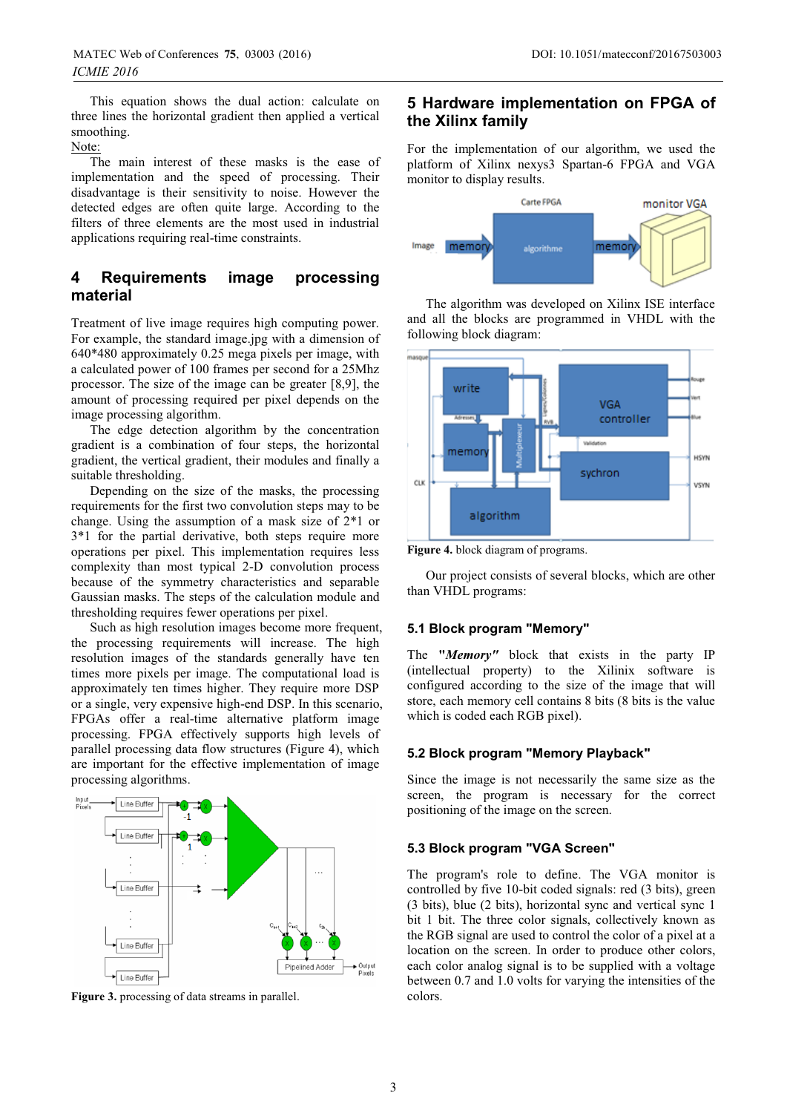This equation shows the dual action: calculate on three lines the horizontal gradient then applied a vertical smoothing.

Note:

The main interest of these masks is the ease of implementation and the speed of processing. Their disadvantage is their sensitivity to noise. However the detected edges are often quite large. According to the filters of three elements are the most used in industrial applications requiring real-time constraints.

### **4 Requirements image processing material**

Treatment of live image requires high computing power. For example, the standard image.jpg with a dimension of 640\*480 approximately 0.25 mega pixels per image, with a calculated power of 100 frames per second for a 25Mhz processor. The size of the image can be greater [8,9], the amount of processing required per pixel depends on the image processing algorithm.

The edge detection algorithm by the concentration gradient is a combination of four steps, the horizontal gradient, the vertical gradient, their modules and finally a suitable thresholding.

Depending on the size of the masks, the processing requirements for the first two convolution steps may to be change. Using the assumption of a mask size of 2\*1 or 3\*1 for the partial derivative, both steps require more operations per pixel. This implementation requires less complexity than most typical 2-D convolution process because of the symmetry characteristics and separable Gaussian masks. The steps of the calculation module and thresholding requires fewer operations per pixel.

Such as high resolution images become more frequent, the processing requirements will increase. The high resolution images of the standards generally have ten times more pixels per image. The computational load is approximately ten times higher. They require more DSP or a single, very expensive high-end DSP. In this scenario, FPGAs offer a real-time alternative platform image processing. FPGA effectively supports high levels of parallel processing data flow structures (Figure 4), which are important for the effective implementation of image processing algorithms.



Figure 3. processing of data streams in parallel.

## **5 Hardware implementation on FPGA of the Xilinx family**

For the implementation of our algorithm, we used the platform of Xilinx nexys3 Spartan-6 FPGA and VGA monitor to display results.



The algorithm was developed on Xilinx ISE interface and all the blocks are programmed in VHDL with the following block diagram:



**Figure 4.** block diagram of programs.

Our project consists of several blocks, which are other than VHDL programs:

### **5.1 Block program "Memory"**

The **"***Memory"* block that exists in the party IP (intellectual property) to the Xilinix software is configured according to the size of the image that will store, each memory cell contains 8 bits (8 bits is the value which is coded each RGB pixel).

#### **5.2 Block program "Memory Playback"**

Since the image is not necessarily the same size as the screen, the program is necessary for the correct positioning of the image on the screen.

### **5.3 Block program "VGA Screen"**

The program's role to define. The VGA monitor is controlled by five 10-bit coded signals: red (3 bits), green (3 bits), blue (2 bits), horizontal sync and vertical sync 1 bit 1 bit. The three color signals, collectively known as the RGB signal are used to control the color of a pixel at a location on the screen. In order to produce other colors, each color analog signal is to be supplied with a voltage between 0.7 and 1.0 volts for varying the intensities of the colors.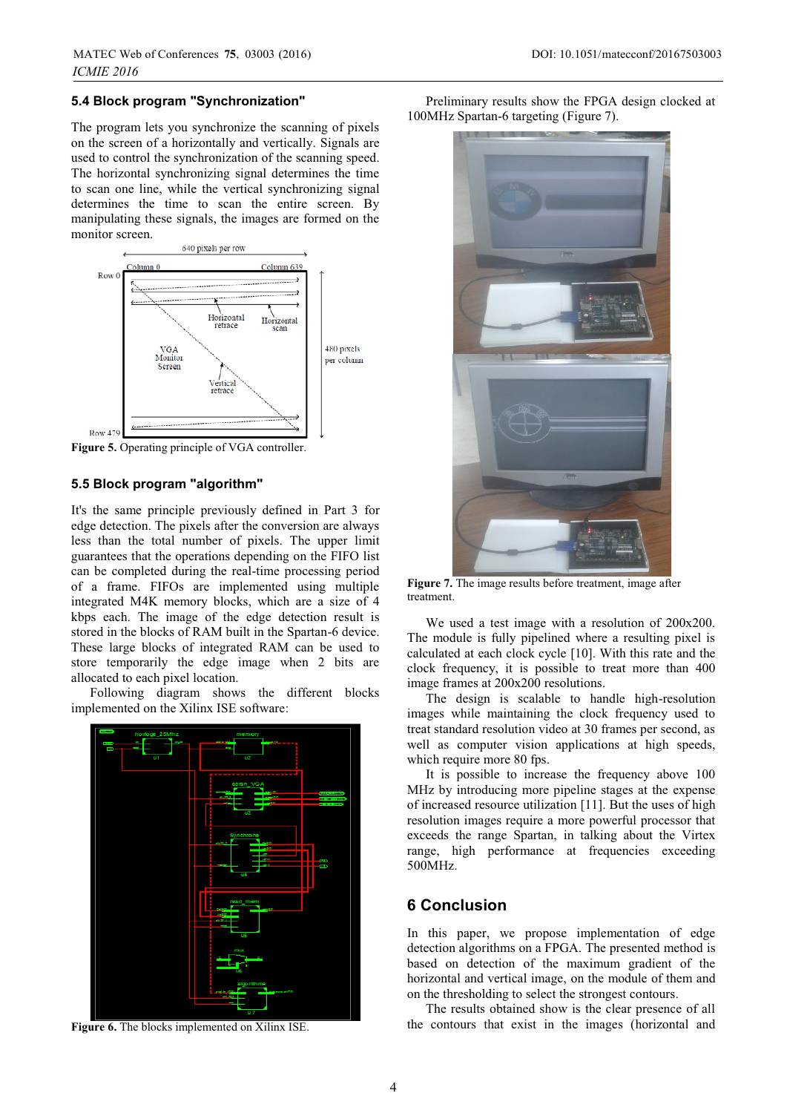#### **5.4 Block program "Synchronization"**

The program lets you synchronize the scanning of pixels on the screen of a horizontally and vertically. Signals are used to control the synchronization of the scanning speed. The horizontal synchronizing signal determines the time to scan one line, while the vertical synchronizing signal determines the time to scan the entire screen. By manipulating these signals, the images are formed on the monitor screen.



**Figure 5.** Operating principle of VGA controller.

### **5.5 Block program "algorithm"**

It's the same principle previously defined in Part 3 for edge detection. The pixels after the conversion are always less than the total number of pixels. The upper limit guarantees that the operations depending on the FIFO list can be completed during the real-time processing period of a frame. FIFOs are implemented using multiple integrated M4K memory blocks, which are a size of 4 kbps each. The image of the edge detection result is stored in the blocks of RAM built in the Spartan-6 device. These large blocks of integrated RAM can be used to store temporarily the edge image when 2 bits are allocated to each pixel location.

Following diagram shows the different blocks implemented on the Xilinx ISE software:



**Figure 6.** The blocks implemented on Xilinx ISE.

Preliminary results show the FPGA design clocked at 100MHz Spartan-6 targeting (Figure 7).



**Figure 7.** The image results before treatment, image after treatment.

We used a test image with a resolution of 200x200. The module is fully pipelined where a resulting pixel is calculated at each clock cycle [10]. With this rate and the clock frequency, it is possible to treat more than 400 image frames at 200x200 resolutions.

The design is scalable to handle high-resolution images while maintaining the clock frequency used to treat standard resolution video at 30 frames per second, as well as computer vision applications at high speeds, which require more 80 fps.

It is possible to increase the frequency above 100 MHz by introducing more pipeline stages at the expense of increased resource utilization [11]. But the uses of high resolution images require a more powerful processor that exceeds the range Spartan, in talking about the Virtex range, high performance at frequencies exceeding 500MHz.

### **6 Conclusion**

In this paper, we propose implementation of edge detection algorithms on a FPGA. The presented method is based on detection of the maximum gradient of the horizontal and vertical image, on the module of them and on the thresholding to select the strongest contours.

The results obtained show is the clear presence of all the contours that exist in the images (horizontal and